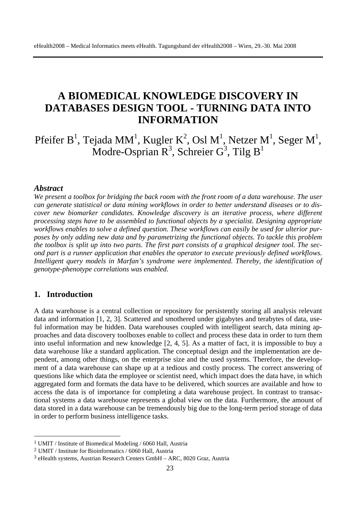# **A BIOMEDICAL KNOWLEDGE DISCOVERY IN DATABASES DESIGN TOOL - TURNING DATA INTO INFORMATION**

Pfeifer B<sup>1</sup>, Tejada MM<sup>1</sup>, Kugler K<sup>2</sup>, Osl M<sup>1</sup>, Netzer M<sup>1</sup>, Seger M<sup>1</sup>, Modre-Osprian  $R^3$ , Schreier  $G^3$ , Tilg  $B^1$ 

#### *Abstract*

*We present a toolbox for bridging the back room with the front room of a data warehouse. The user can generate statistical or data mining workflows in order to better understand diseases or to discover new biomarker candidates. Knowledge discovery is an iterative process, where different processing steps have to be assembled to functional objects by a specialist. Designing appropriate workflows enables to solve a defined question. These workflows can easily be used for ulterior purposes by only adding new data and by parametrizing the functional objects. To tackle this problem the toolbox is split up into two parts. The first part consists of a graphical designer tool. The second part is a runner application that enables the operator to execute previously defined workflows. Intelligent query models in Marfan's syndrome were implemented. Thereby, the identification of genotype-phenotype correlations was enabled.* 

### **1. Introduction**

 $\overline{a}$ 

A data warehouse is a central collection or repository for persistently storing all analysis relevant data and information [1, 2, 3]. Scattered and smothered under gigabytes and terabytes of data, useful information may be hidden. Data warehouses coupled with intelligent search, data mining approaches and data discovery toolboxes enable to collect and process these data in order to turn them into useful information and new knowledge [2, 4, 5]. As a matter of fact, it is impossible to buy a data warehouse like a standard application. The conceptual design and the implementation are dependent, among other things, on the enterprise size and the used systems. Therefore, the development of a data warehouse can shape up at a tedious and costly process. The correct answering of questions like which data the employee or scientist need, which impact does the data have, in which aggregated form and formats the data have to be delivered, which sources are available and how to access the data is of importance for completing a data warehouse project. In contrast to transactional systems a data warehouse represents a global view on the data. Furthermore, the amount of data stored in a data warehouse can be tremendously big due to the long-term period storage of data in order to perform business intelligence tasks.

<sup>1</sup> UMIT / Institute of Biomedical Modeling / 6060 Hall, Austria

<sup>2</sup> UMIT / Institute for Bioinformatics / 6060 Hall, Austria

<sup>3</sup> eHealth systems, Austrian Research Centers GmbH – ARC, 8020 Graz, Austria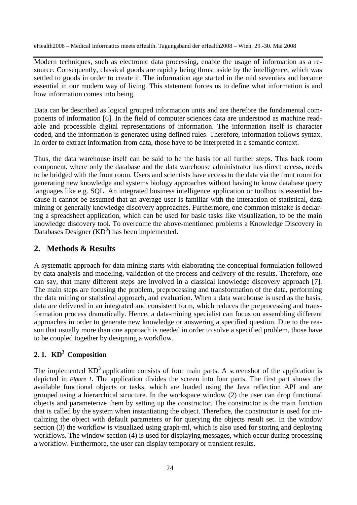Modern techniques, such as electronic data processing, enable the usage of information as a resource. Consequently, classical goods are rapidly being thrust aside by the intelligence, which was settled to goods in order to create it. The information age started in the mid seventies and became essential in our modern way of living. This statement forces us to define what information is and how information comes into being.

Data can be described as logical grouped information units and are therefore the fundamental components of information [6]. In the field of computer sciences data are understood as machine readable and processible digital representations of information. The information itself is character coded, and the information is generated using defined rules. Therefore, information follows syntax. In order to extract information from data, those have to be interpreted in a semantic context.

Thus, the data warehouse itself can be said to be the basis for all further steps. This back room component, where only the database and the data warehouse administrator has direct access, needs to be bridged with the front room. Users and scientists have access to the data via the front room for generating new knowledge and systems biology approaches without having to know database query languages like e.g. SQL. An integrated business intelligence application or toolbox is essential because it cannot be assumed that an average user is familiar with the interaction of statistical, data mining or generally knowledge discovery approaches. Furthermore, one common mistake is declaring a spreadsheet application, which can be used for basic tasks like visualization, to be the main knowledge discovery tool. To overcome the above-mentioned problems a Knowledge Discovery in Databases Designer  $(KD<sup>3</sup>)$  has been implemented.

## **2. Methods & Results**

A systematic approach for data mining starts with elaborating the conceptual formulation followed by data analysis and modeling, validation of the process and delivery of the results. Therefore, one can say, that many different steps are involved in a classical knowledge discovery approach [7]. The main steps are focusing the problem, preprocessing and transformation of the data, performing the data mining or statistical approach, and evaluation. When a data warehouse is used as the basis, data are delivered in an integrated and consistent form, which reduces the preprocessing and transformation process dramatically. Hence, a data-mining specialist can focus on assembling different approaches in order to generate new knowledge or answering a specified question. Due to the reason that usually more than one approach is needed in order to solve a specified problem, those have to be coupled together by designing a workflow.

# **2. 1. KD3 Composition**

The implemented  $KD^3$  application consists of four main parts. A screenshot of the application is depicted in *Figure 1*. The application divides the screen into four parts. The first part shows the available functional objects or tasks, which are loaded using the Java reflection API and are grouped using a hierarchical structure. In the workspace window (2) the user can drop functional objects and parameterize them by setting up the constructor. The constructor is the main function that is called by the system when instantiating the object. Therefore, the constructor is used for initializing the object with default parameters or for querying the objects result set. In the window section (3) the workflow is visualized using graph-ml, which is also used for storing and deploying workflows. The window section (4) is used for displaying messages, which occur during processing a workflow. Furthermore, the user can display temporary or transient results.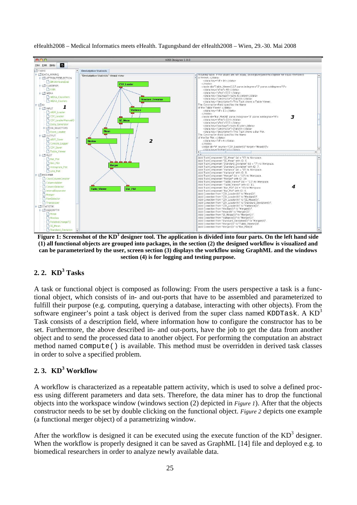

**Figure 1: Screenshot of the KD<sup>3</sup> designer tool. The application is divided into four parts. On the left hand side (1) all functional objects are grouped into packages, in the section (2) the designed workflow is visualized and can be parameterized by the user, screen section (3) displays the workflow using GraphML and the windows section (4) is for logging and testing purpose.** 

# **2. 2. KD3 Tasks**

A task or functional object is composed as following: From the users perspective a task is a functional object, which consists of in- and out-ports that have to be assembled and parameterized to fulfill their purpose (e.g. computing, querying a database, interacting with other objects). From the software engineer's point a task object is derived from the super class named KDDTask. A  $KD<sup>3</sup>$ Task consists of a description field, where information how to configure the constructor has to be set. Furthermore, the above described in- and out-ports, have the job to get the data from another object and to send the processed data to another object. For performing the computation an abstract method named compute() is available. This method must be overridden in derived task classes in order to solve a specified problem.

# **2. 3. KD3 Workflow**

A workflow is characterized as a repeatable pattern activity, which is used to solve a defined process using different parameters and data sets. Therefore, the data miner has to drop the functional objects into the workspace window (windows section (2) depicted in *Figure 1*). After that the objects constructor needs to be set by double clicking on the functional object. *Figure 2* depicts one example (a functional merger object) of a parametrizing window.

After the workflow is designed it can be executed using the execute function of the  $KD^3$  designer. When the workflow is properly designed it can be saved as GraphML [14] file and deployed e.g. to biomedical researchers in order to analyze newly available data.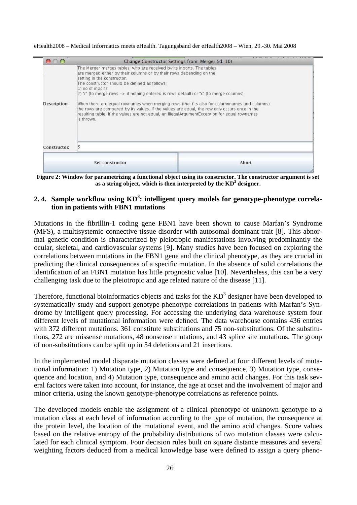eHealth2008 – Medical Informatics meets eHealth. Tagungsband der eHealth2008 – Wien, 29.-30. Mai 2008

|                     |                                                                                                                                                                                                                                                                                                                                                                                                                                                                                                                                                                                                                                                             | Change Constructor Settings from: Merger (id: 10) |
|---------------------|-------------------------------------------------------------------------------------------------------------------------------------------------------------------------------------------------------------------------------------------------------------------------------------------------------------------------------------------------------------------------------------------------------------------------------------------------------------------------------------------------------------------------------------------------------------------------------------------------------------------------------------------------------------|---------------------------------------------------|
| <b>Description:</b> | The Merger merges tables, who are received by its inports. The tables<br>are merged either by their columns or by their rows depending on the<br>setting in the constructor.<br>The constructor should be defined as follows:<br>1) no of inports<br>[2] "r" (to merge rows -> if nothing entered is rows default) or "c" (to merge columns)<br>When there are equal rownames when merging rows (that fits also for columnnames and columns)<br>the rows are compared by its values. If the values are equal, the row only occurs once in the<br>resulting table. If the values are not equal, an IllegalArgumentException for equal rownames<br>is thrown. |                                                   |
|                     |                                                                                                                                                                                                                                                                                                                                                                                                                                                                                                                                                                                                                                                             |                                                   |
| Constructor:        |                                                                                                                                                                                                                                                                                                                                                                                                                                                                                                                                                                                                                                                             |                                                   |

**Figure 2: Window for parametrizing a functional object using its constructor. The constructor argument is set**  as a string object, which is then interpreted by the KD<sup>3</sup> designer.

#### 2. 4. Sample workflow using KD<sup>3</sup>: intelligent query models for genotype-phenotype correla**tion in patients with FBN1 mutations**

Mutations in the fibrillin-1 coding gene FBN1 have been shown to cause Marfan's Syndrome (MFS), a multisystemic connective tissue disorder with autosomal dominant trait [8]. This abnormal genetic condition is characterized by pleiotropic manifestations involving predominantly the ocular, skeletal, and cardiovascular systems [9]. Many studies have been focused on exploring the correlations between mutations in the FBN1 gene and the clinical phenotype, as they are crucial in predicting the clinical consequences of a specific mutation. In the absence of solid correlations the identification of an FBN1 mutation has little prognostic value [10]. Nevertheless, this can be a very challenging task due to the pleiotropic and age related nature of the disease [11].

Therefore, functional bioinformatics objects and tasks for the  $KD^3$  designer have been developed to systematically study and support genotype-phenotype correlations in patients with Marfan's Syndrome by intelligent query processing. For accessing the underlying data warehouse system four different levels of mutational information were defined. The data warehouse contains 436 entries with 372 different mutations. 361 constitute substitutions and 75 non-substitutions. Of the substitutions, 272 are missense mutations, 48 nonsense mutations, and 43 splice site mutations. The group of non-substitutions can be split up in 54 deletions and 21 insertions.

In the implemented model disparate mutation classes were defined at four different levels of mutational information: 1) Mutation type, 2) Mutation type and consequence, 3) Mutation type, consequence and location, and 4) Mutation type, consequence and amino acid changes. For this task several factors were taken into account, for instance, the age at onset and the involvement of major and minor criteria, using the known genotype-phenotype correlations as reference points.

The developed models enable the assignment of a clinical phenotype of unknown genotype to a mutation class at each level of information according to the type of mutation, the consequence at the protein level, the location of the mutational event, and the amino acid changes. Score values based on the relative entropy of the probability distributions of two mutation classes were calculated for each clinical symptom. Four decision rules built on square distance measures and several weighting factors deduced from a medical knowledge base were defined to assign a query pheno-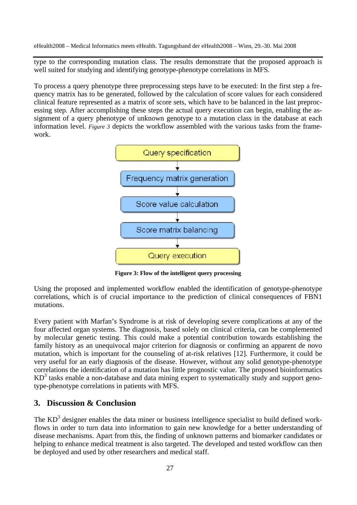type to the corresponding mutation class. The results demonstrate that the proposed approach is well suited for studying and identifying genotype-phenotype correlations in MFS.

To process a query phenotype three preprocessing steps have to be executed: In the first step a frequency matrix has to be generated, followed by the calculation of score values for each considered clinical feature represented as a matrix of score sets, which have to be balanced in the last preprocessing step. After accomplishing these steps the actual query execution can begin, enabling the assignment of a query phenotype of unknown genotype to a mutation class in the database at each information level. *Figure 3* depicts the workflow assembled with the various tasks from the framework.



**Figure 3: Flow of the intelligent query processing** 

Using the proposed and implemented workflow enabled the identification of genotype-phenotype correlations, which is of crucial importance to the prediction of clinical consequences of FBN1 mutations.

Every patient with Marfan's Syndrome is at risk of developing severe complications at any of the four affected organ systems. The diagnosis, based solely on clinical criteria, can be complemented by molecular genetic testing. This could make a potential contribution towards establishing the family history as an unequivocal major criterion for diagnosis or confirming an apparent de novo mutation, which is important for the counseling of at-risk relatives [12]. Furthermore, it could be very useful for an early diagnosis of the disease. However, without any solid genotype-phenotype correlations the identification of a mutation has little prognostic value. The proposed bioinformatics  $KD<sup>3</sup>$  tasks enable a non-database and data mining expert to systematically study and support genotype-phenotype correlations in patients with MFS.

# **3. Discussion & Conclusion**

The  $KD<sup>3</sup>$  designer enables the data miner or business intelligence specialist to build defined workflows in order to turn data into information to gain new knowledge for a better understanding of disease mechanisms. Apart from this, the finding of unknown patterns and biomarker candidates or helping to enhance medical treatment is also targeted. The developed and tested workflow can then be deployed and used by other researchers and medical staff.